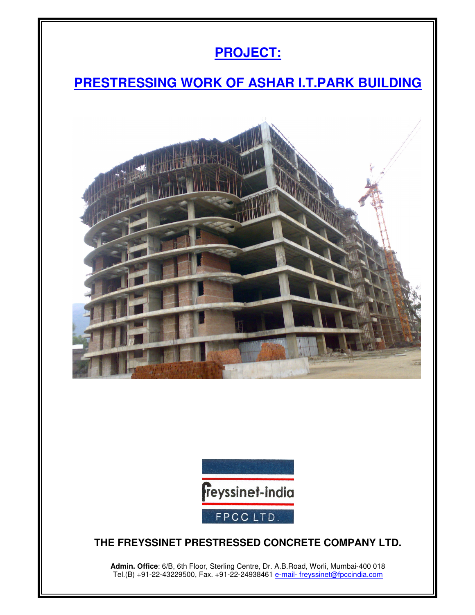



## **THE FREYSSINET PRESTRESSED CONCRETE COMPANY LTD.**

**Admin. Office**: 6/B, 6th Floor, Sterling Centre, Dr. A.B.Road, Worli, Mumbai-400 018 Tel.(B) +91-22-43229500, Fax. +91-22-24938461 <u>e-mail- freyssinet@fpccindia.com</u>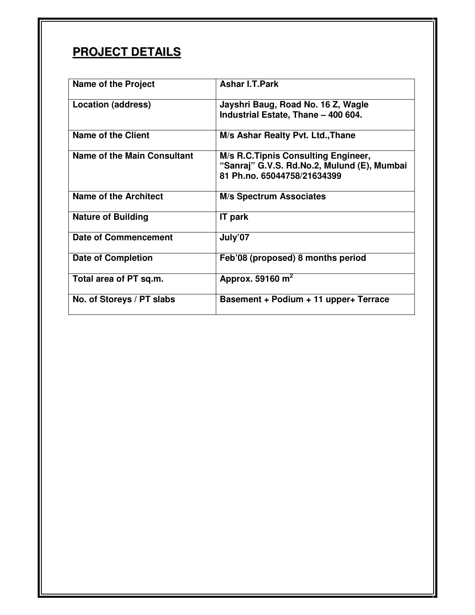## **PROJECT DETAILS**

| <b>Name of the Project</b>  | <b>Ashar I.T.Park</b>                                                                                             |
|-----------------------------|-------------------------------------------------------------------------------------------------------------------|
| <b>Location (address)</b>   | Jayshri Baug, Road No. 16 Z, Wagle<br>Industrial Estate, Thane - 400 604.                                         |
| Name of the Client          | M/s Ashar Realty Pvt. Ltd., Thane                                                                                 |
| Name of the Main Consultant | M/s R.C.Tipnis Consulting Engineer,<br>"Sanraj" G.V.S. Rd.No.2, Mulund (E), Mumbai<br>81 Ph.no. 65044758/21634399 |
| Name of the Architect       | <b>M/s Spectrum Associates</b>                                                                                    |
| <b>Nature of Building</b>   | <b>IT</b> park                                                                                                    |
| <b>Date of Commencement</b> | July'07                                                                                                           |
| <b>Date of Completion</b>   | Feb'08 (proposed) 8 months period                                                                                 |
| Total area of PT sq.m.      | Approx. 59160 $m2$                                                                                                |
| No. of Storeys / PT slabs   | Basement + Podium + 11 upper+ Terrace                                                                             |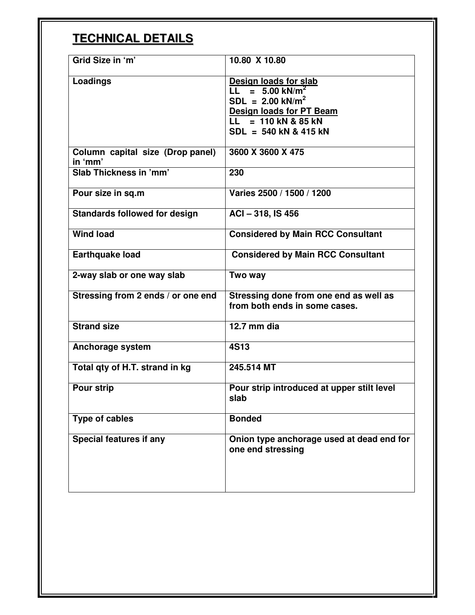## **TECHNICAL DETAILS**

| Grid Size in 'm'                            | 10.80 X 10.80                                                                                                                                                       |
|---------------------------------------------|---------------------------------------------------------------------------------------------------------------------------------------------------------------------|
| <b>Loadings</b>                             | Design loads for slab<br>$LL = 5.00 \text{ kN/m}^2$<br>$SDL = 2.00$ kN/m <sup>2</sup><br>Design loads for PT Beam<br>$LL = 110$ kN & 85 kN<br>SDL = 540 kN & 415 kN |
| Column capital size (Drop panel)<br>in 'mm' | 3600 X 3600 X 475                                                                                                                                                   |
| Slab Thickness in 'mm'                      | 230                                                                                                                                                                 |
| Pour size in sq.m                           | Varies 2500 / 1500 / 1200                                                                                                                                           |
| <b>Standards followed for design</b>        | ACI - 318, IS 456                                                                                                                                                   |
| <b>Wind load</b>                            | <b>Considered by Main RCC Consultant</b>                                                                                                                            |
| <b>Earthquake load</b>                      | <b>Considered by Main RCC Consultant</b>                                                                                                                            |
| 2-way slab or one way slab                  | Two way                                                                                                                                                             |
| Stressing from 2 ends / or one end          | Stressing done from one end as well as<br>from both ends in some cases.                                                                                             |
| <b>Strand size</b>                          | 12.7 mm dia                                                                                                                                                         |
| Anchorage system                            | <b>4S13</b>                                                                                                                                                         |
| Total qty of H.T. strand in kg              | 245.514 MT                                                                                                                                                          |
| <b>Pour strip</b>                           | Pour strip introduced at upper stilt level<br>slab                                                                                                                  |
| <b>Type of cables</b>                       | <b>Bonded</b>                                                                                                                                                       |
| <b>Special features if any</b>              | Onion type anchorage used at dead end for<br>one end stressing                                                                                                      |